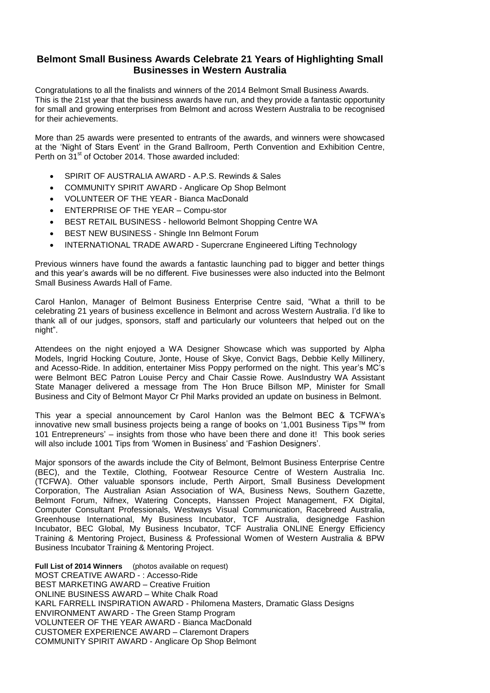## **Belmont Small Business Awards Celebrate 21 Years of Highlighting Small Businesses in Western Australia**

Congratulations to all the finalists and winners of the 2014 Belmont Small Business Awards. This is the 21st year that the business awards have run, and they provide a fantastic opportunity for small and growing enterprises from Belmont and across Western Australia to be recognised for their achievements.

More than 25 awards were presented to entrants of the awards, and winners were showcased at the 'Night of Stars Event' in the Grand Ballroom, Perth Convention and Exhibition Centre, Perth on 31<sup>st</sup> of October 2014. Those awarded included:

- SPIRIT OF AUSTRALIA AWARD A.P.S. Rewinds & Sales
- COMMUNITY SPIRIT AWARD Anglicare Op Shop Belmont
- VOLUNTEER OF THE YEAR Bianca MacDonald
- ENTERPRISE OF THE YEAR Compu-stor
- BEST RETAIL BUSINESS helloworld Belmont Shopping Centre WA
- BEST NEW BUSINESS Shingle Inn Belmont Forum
- INTERNATIONAL TRADE AWARD Supercrane Engineered Lifting Technology

Previous winners have found the awards a fantastic launching pad to bigger and better things and this year's awards will be no different. Five businesses were also inducted into the Belmont Small Business Awards Hall of Fame.

Carol Hanlon, Manager of Belmont Business Enterprise Centre said, "What a thrill to be celebrating 21 years of business excellence in Belmont and across Western Australia. I'd like to thank all of our judges, sponsors, staff and particularly our volunteers that helped out on the night".

Attendees on the night enjoyed a WA Designer Showcase which was supported by Alpha Models, Ingrid Hocking Couture, Jonte, House of Skye, Convict Bags, Debbie Kelly Millinery, and Acesso-Ride. In addition, entertainer Miss Poppy performed on the night. This year's MC's were Belmont BEC Patron Louise Percy and Chair Cassie Rowe. AusIndustry WA Assistant State Manager delivered a message from The Hon Bruce Billson MP, Minister for Small Business and City of Belmont Mayor Cr Phil Marks provided an update on business in Belmont.

This year a special announcement by Carol Hanlon was the Belmont BEC & TCFWA's innovative new small business projects being a range of books on '1,001 Business Tips™ from 101 Entrepreneurs' – insights from those who have been there and done it! This book series will also include 1001 Tips from 'Women in Business' and 'Fashion Designers'.

Major sponsors of the awards include the City of Belmont, Belmont Business Enterprise Centre (BEC), and the Textile, Clothing, Footwear Resource Centre of Western Australia Inc. (TCFWA). Other valuable sponsors include, Perth Airport, Small Business Development Corporation, The Australian Asian Association of WA, Business News, Southern Gazette, Belmont Forum, Nifnex, Watering Concepts, Hanssen Project Management, FX Digital, Computer Consultant Professionals, Westways Visual Communication, Racebreed Australia, Greenhouse International, My Business Incubator, TCF Australia, designedge Fashion Incubator, BEC Global, My Business Incubator, TCF Australia ONLINE Energy Efficiency Training & Mentoring Project, Business & Professional Women of Western Australia & BPW Business Incubator Training & Mentoring Project.

**Full List of 2014 Winners** (photos available on request) MOST CREATIVE AWARD - : Accesso-Ride BEST MARKETING AWARD – Creative Fruition ONLINE BUSINESS AWARD – White Chalk Road KARL FARRELL INSPIRATION AWARD - Philomena Masters, Dramatic Glass Designs ENVIRONMENT AWARD - The Green Stamp Program VOLUNTEER OF THE YEAR AWARD - Bianca MacDonald CUSTOMER EXPERIENCE AWARD – Claremont Drapers COMMUNITY SPIRIT AWARD - Anglicare Op Shop Belmont